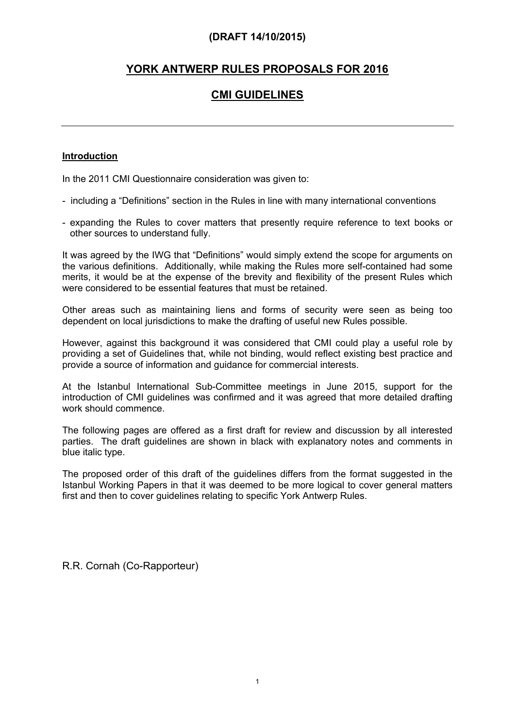# **YORK ANTWERP RULES PROPOSALS FOR 2016**

# **CMI GUIDELINES**

### **Introduction**

In the 2011 CMI Questionnaire consideration was given to:

- including a "Definitions" section in the Rules in line with many international conventions
- expanding the Rules to cover matters that presently require reference to text books or other sources to understand fully.

It was agreed by the IWG that "Definitions" would simply extend the scope for arguments on the various definitions. Additionally, while making the Rules more self-contained had some merits, it would be at the expense of the brevity and flexibility of the present Rules which were considered to be essential features that must be retained.

Other areas such as maintaining liens and forms of security were seen as being too dependent on local jurisdictions to make the drafting of useful new Rules possible.

However, against this background it was considered that CMI could play a useful role by providing a set of Guidelines that, while not binding, would reflect existing best practice and provide a source of information and guidance for commercial interests.

At the Istanbul International Sub-Committee meetings in June 2015, support for the introduction of CMI guidelines was confirmed and it was agreed that more detailed drafting work should commence.

The following pages are offered as a first draft for review and discussion by all interested parties. The draft guidelines are shown in black with explanatory notes and comments in blue italic type.

The proposed order of this draft of the guidelines differs from the format suggested in the Istanbul Working Papers in that it was deemed to be more logical to cover general matters first and then to cover guidelines relating to specific York Antwerp Rules.

R.R. Cornah (Co-Rapporteur)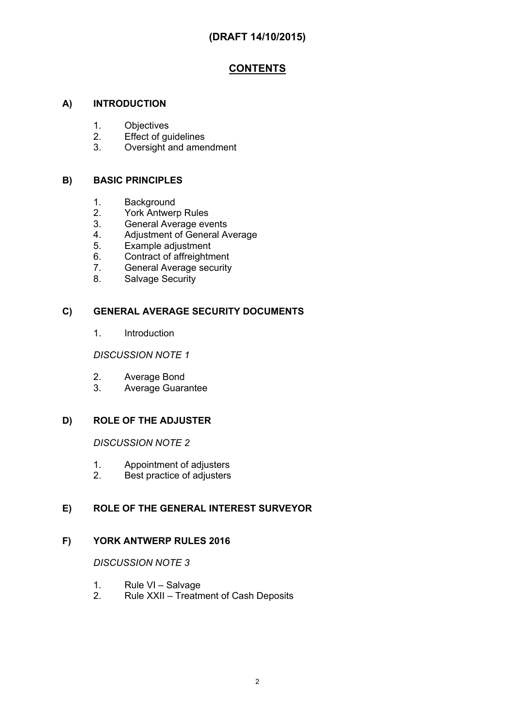# **CONTENTS**

## **A) INTRODUCTION**

- 1. Objectives
- 2. Effect of guidelines
- 3. Oversight and amendment

### **B) BASIC PRINCIPLES**

- 1. Background
- 2. York Antwerp Rules
- 3. General Average events<br>4. Adiustment of General A
- Adjustment of General Average
- 5. Example adjustment
- 6. Contract of affreightment
- 7. General Average security
- 8. Salvage Security

### **C) GENERAL AVERAGE SECURITY DOCUMENTS**

1. Introduction

*DISCUSSION NOTE 1*

- 2. Average Bond
- 3. Average Guarantee

### **D) ROLE OF THE ADJUSTER**

*DISCUSSION NOTE 2*

- 1. Appointment of adjusters
- 2. Best practice of adjusters

## **E) ROLE OF THE GENERAL INTEREST SURVEYOR**

### **F) YORK ANTWERP RULES 2016**

## *DISCUSSION NOTE 3*

- 1. Rule VI Salvage<br>2. Rule XXII Treatn
- 2. Rule XXII Treatment of Cash Deposits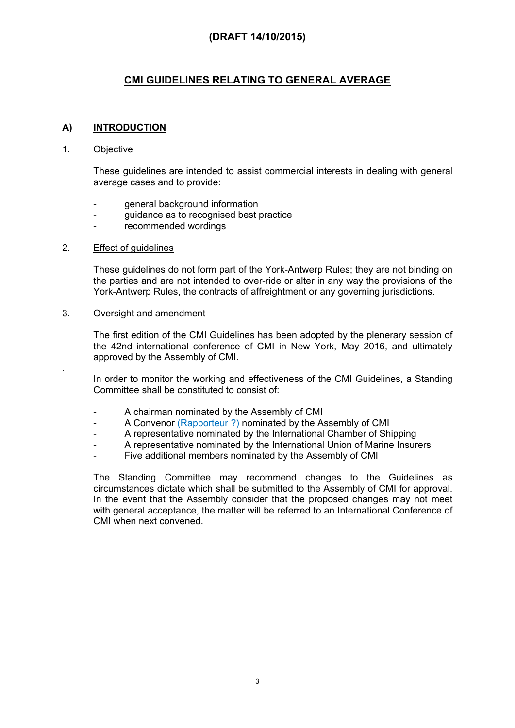# **CMI GUIDELINES RELATING TO GENERAL AVERAGE**

### **A) INTRODUCTION**

### 1. Objective

.

These guidelines are intended to assist commercial interests in dealing with general average cases and to provide:

- general background information
- guidance as to recognised best practice
- recommended wordings

### 2. Effect of guidelines

These guidelines do not form part of the York-Antwerp Rules; they are not binding on the parties and are not intended to over-ride or alter in any way the provisions of the York-Antwerp Rules, the contracts of affreightment or any governing jurisdictions.

### 3. Oversight and amendment

The first edition of the CMI Guidelines has been adopted by the plenerary session of the 42nd international conference of CMI in New York, May 2016, and ultimately approved by the Assembly of CMI.

In order to monitor the working and effectiveness of the CMI Guidelines, a Standing Committee shall be constituted to consist of:

- A chairman nominated by the Assembly of CMI
- A Convenor (Rapporteur ?) nominated by the Assembly of CMI
- A representative nominated by the International Chamber of Shipping
- A representative nominated by the International Union of Marine Insurers
- Five additional members nominated by the Assembly of CMI

The Standing Committee may recommend changes to the Guidelines as circumstances dictate which shall be submitted to the Assembly of CMI for approval. In the event that the Assembly consider that the proposed changes may not meet with general acceptance, the matter will be referred to an International Conference of CMI when next convened.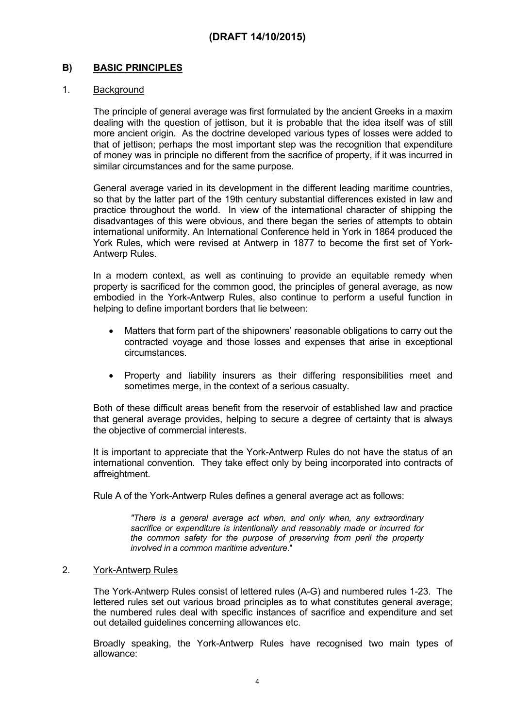## **B) BASIC PRINCIPLES**

### 1. Background

The principle of general average was first formulated by the ancient Greeks in a maxim dealing with the question of jettison, but it is probable that the idea itself was of still more ancient origin. As the doctrine developed various types of losses were added to that of jettison; perhaps the most important step was the recognition that expenditure of money was in principle no different from the sacrifice of property, if it was incurred in similar circumstances and for the same purpose.

General average varied in its development in the different leading maritime countries, so that by the latter part of the 19th century substantial differences existed in law and practice throughout the world. In view of the international character of shipping the disadvantages of this were obvious, and there began the series of attempts to obtain international uniformity. An International Conference held in York in 1864 produced the York Rules, which were revised at Antwerp in 1877 to become the first set of York-Antwerp Rules.

In a modern context, as well as continuing to provide an equitable remedy when property is sacrificed for the common good, the principles of general average, as now embodied in the York-Antwerp Rules, also continue to perform a useful function in helping to define important borders that lie between:

- Matters that form part of the shipowners' reasonable obligations to carry out the contracted voyage and those losses and expenses that arise in exceptional circumstances.
- Property and liability insurers as their differing responsibilities meet and sometimes merge, in the context of a serious casualty.

Both of these difficult areas benefit from the reservoir of established law and practice that general average provides, helping to secure a degree of certainty that is always the objective of commercial interests.

It is important to appreciate that the York-Antwerp Rules do not have the status of an international convention. They take effect only by being incorporated into contracts of affreightment.

Rule A of the York-Antwerp Rules defines a general average act as follows:

*"There is a general average act when, and only when, any extraordinary sacrifice or expenditure is intentionally and reasonably made or incurred for the common safety for the purpose of preserving from peril the property involved in a common maritime adventure*."

### 2. York-Antwerp Rules

The York-Antwerp Rules consist of lettered rules (A-G) and numbered rules 1-23. The lettered rules set out various broad principles as to what constitutes general average; the numbered rules deal with specific instances of sacrifice and expenditure and set out detailed guidelines concerning allowances etc.

Broadly speaking, the York-Antwerp Rules have recognised two main types of allowance: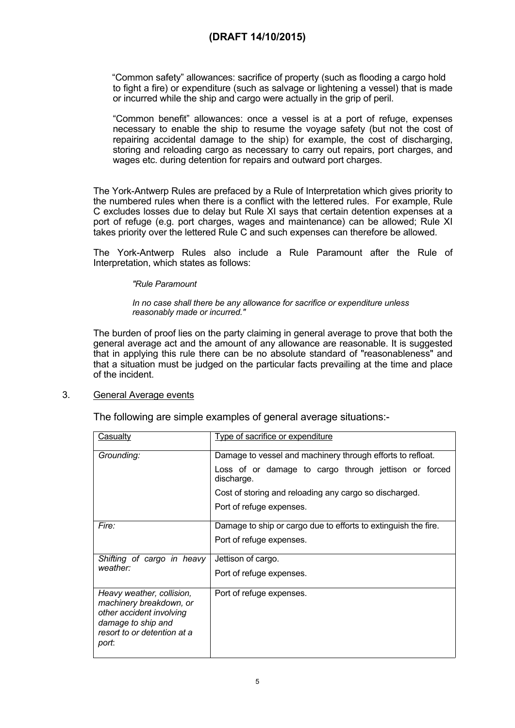"Common safety" allowances: sacrifice of property (such as flooding a cargo hold to fight a fire) or expenditure (such as salvage or lightening a vessel) that is made or incurred while the ship and cargo were actually in the grip of peril.

"Common benefit" allowances: once a vessel is at a port of refuge, expenses necessary to enable the ship to resume the voyage safety (but not the cost of repairing accidental damage to the ship) for example, the cost of discharging, storing and reloading cargo as necessary to carry out repairs, port charges, and wages etc. during detention for repairs and outward port charges.

The York-Antwerp Rules are prefaced by a Rule of Interpretation which gives priority to the numbered rules when there is a conflict with the lettered rules. For example, Rule C excludes losses due to delay but Rule XI says that certain detention expenses at a port of refuge (e.g. port charges, wages and maintenance) can be allowed; Rule XI takes priority over the lettered Rule C and such expenses can therefore be allowed.

The York-Antwerp Rules also include a Rule Paramount after the Rule of Interpretation, which states as follows:

#### *"Rule Paramount*

#### *In no case shall there be any allowance for sacrifice or expenditure unless reasonably made or incurred."*

The burden of proof lies on the party claiming in general average to prove that both the general average act and the amount of any allowance are reasonable. It is suggested that in applying this rule there can be no absolute standard of "reasonableness" and that a situation must be judged on the particular facts prevailing at the time and place of the incident.

### 3. General Average events

The following are simple examples of general average situations:-

| Casualty                                                                                                                                       | Type of sacrifice or expenditure                                    |  |  |
|------------------------------------------------------------------------------------------------------------------------------------------------|---------------------------------------------------------------------|--|--|
| Grounding:                                                                                                                                     | Damage to vessel and machinery through efforts to refloat.          |  |  |
|                                                                                                                                                | Loss of or damage to cargo through jettison or forced<br>discharge. |  |  |
|                                                                                                                                                | Cost of storing and reloading any cargo so discharged.              |  |  |
|                                                                                                                                                | Port of refuge expenses.                                            |  |  |
| Fire:                                                                                                                                          | Damage to ship or cargo due to efforts to extinguish the fire.      |  |  |
|                                                                                                                                                | Port of refuge expenses.                                            |  |  |
| Shifting of cargo in heavy                                                                                                                     | Jettison of cargo.                                                  |  |  |
| weather:                                                                                                                                       | Port of refuge expenses.                                            |  |  |
| Heavy weather, collision,<br>machinery breakdown, or<br>other accident involving<br>damage to ship and<br>resort to or detention at a<br>port: | Port of refuge expenses.                                            |  |  |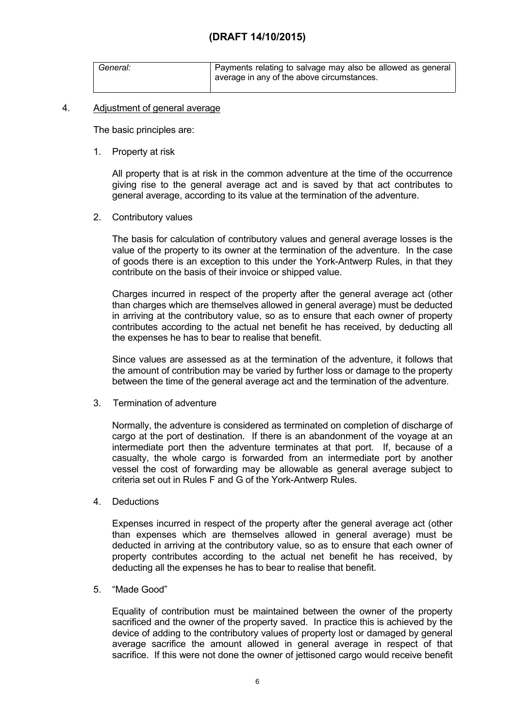| General: | Payments relating to salvage may also be allowed as general |
|----------|-------------------------------------------------------------|
|          | average in any of the above circumstances.                  |

### 4. Adjustment of general average

The basic principles are:

1. Property at risk

All property that is at risk in the common adventure at the time of the occurrence giving rise to the general average act and is saved by that act contributes to general average, according to its value at the termination of the adventure.

2. Contributory values

The basis for calculation of contributory values and general average losses is the value of the property to its owner at the termination of the adventure. In the case of goods there is an exception to this under the York-Antwerp Rules, in that they contribute on the basis of their invoice or shipped value.

Charges incurred in respect of the property after the general average act (other than charges which are themselves allowed in general average) must be deducted in arriving at the contributory value, so as to ensure that each owner of property contributes according to the actual net benefit he has received, by deducting all the expenses he has to bear to realise that benefit.

Since values are assessed as at the termination of the adventure, it follows that the amount of contribution may be varied by further loss or damage to the property between the time of the general average act and the termination of the adventure.

3. Termination of adventure

Normally, the adventure is considered as terminated on completion of discharge of cargo at the port of destination. If there is an abandonment of the voyage at an intermediate port then the adventure terminates at that port. If, because of a casualty, the whole cargo is forwarded from an intermediate port by another vessel the cost of forwarding may be allowable as general average subject to criteria set out in Rules F and G of the York-Antwerp Rules.

4. Deductions

Expenses incurred in respect of the property after the general average act (other than expenses which are themselves allowed in general average) must be deducted in arriving at the contributory value, so as to ensure that each owner of property contributes according to the actual net benefit he has received, by deducting all the expenses he has to bear to realise that benefit.

5. "Made Good"

Equality of contribution must be maintained between the owner of the property sacrificed and the owner of the property saved. In practice this is achieved by the device of adding to the contributory values of property lost or damaged by general average sacrifice the amount allowed in general average in respect of that sacrifice. If this were not done the owner of jettisoned cargo would receive benefit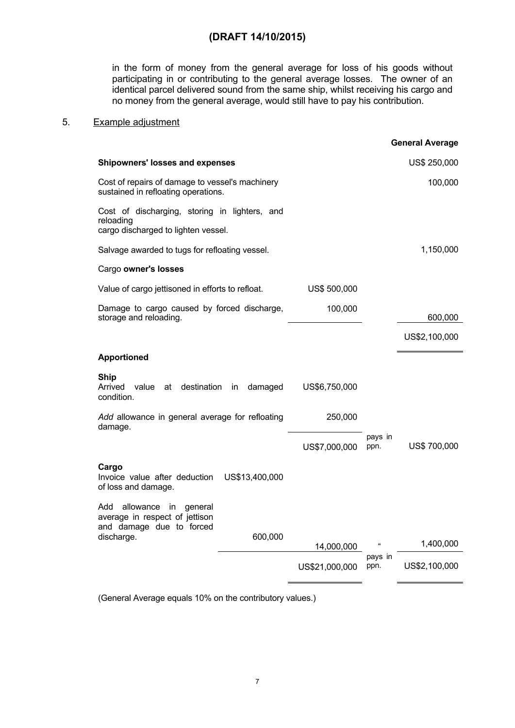in the form of money from the general average for loss of his goods without participating in or contributing to the general average losses. The owner of an identical parcel delivered sound from the same ship, whilst receiving his cargo and no money from the general average, would still have to pay his contribution.

## 5. Example adjustment

|                                                                                                   |                |                |                 | <b>General Average</b> |
|---------------------------------------------------------------------------------------------------|----------------|----------------|-----------------|------------------------|
| <b>Shipowners' losses and expenses</b>                                                            |                |                |                 | US\$ 250,000           |
| Cost of repairs of damage to vessel's machinery<br>sustained in refloating operations.            |                |                |                 | 100,000                |
| Cost of discharging, storing in lighters, and<br>reloading<br>cargo discharged to lighten vessel. |                |                |                 |                        |
| Salvage awarded to tugs for refloating vessel.                                                    |                |                |                 | 1,150,000              |
| Cargo owner's losses                                                                              |                |                |                 |                        |
| Value of cargo jettisoned in efforts to refloat.                                                  |                | US\$ 500,000   |                 |                        |
| Damage to cargo caused by forced discharge,<br>storage and reloading.                             |                | 100,000        |                 | 600,000                |
|                                                                                                   |                |                |                 | US\$2,100,000          |
| <b>Apportioned</b>                                                                                |                |                |                 |                        |
| <b>Ship</b><br>Arrived<br>value<br>destination<br>at<br>condition.                                | in.<br>damaged | US\$6,750,000  |                 |                        |
| Add allowance in general average for refloating<br>damage.                                        |                | 250,000        |                 |                        |
|                                                                                                   |                | US\$7,000,000  | pays in<br>ppn. | US\$ 700,000           |
| Cargo<br>Invoice value after deduction<br>of loss and damage.                                     | US\$13,400,000 |                |                 |                        |
| allowance in<br>Add<br>general<br>average in respect of jettison<br>and damage due to forced      |                |                |                 |                        |
| discharge.                                                                                        | 600,000        | 14,000,000     |                 | 1,400,000              |
|                                                                                                   |                | US\$21,000,000 | pays in<br>ppn. | US\$2,100,000          |
|                                                                                                   |                |                |                 |                        |

(General Average equals 10% on the contributory values.)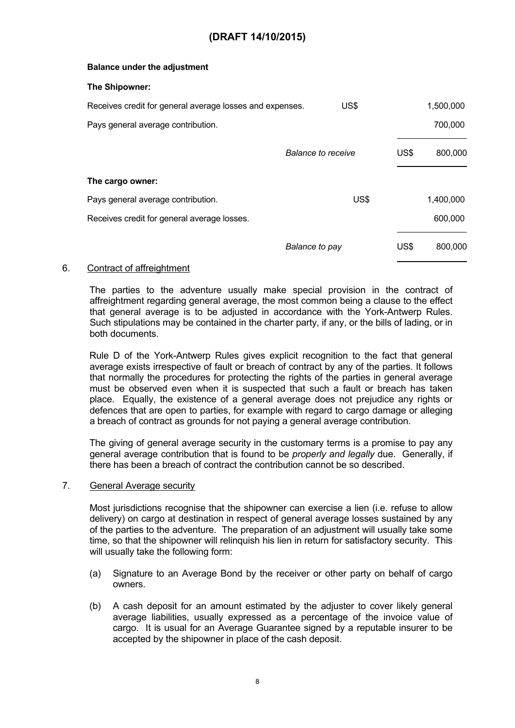### **Balance under the adjustment**

#### **The Shipowner:**

| Receives credit for general average losses and expenses. | US\$                      |      | 1,500,000 |
|----------------------------------------------------------|---------------------------|------|-----------|
| Pays general average contribution.                       |                           |      | 700,000   |
|                                                          | <b>Balance to receive</b> | US\$ | 800,000   |
| The cargo owner:                                         |                           |      |           |
| Pays general average contribution.                       | US\$                      |      | 1,400,000 |
| Receives credit for general average losses.              |                           |      | 600,000   |
|                                                          | Balance to pay            | US\$ | 800,000   |

### 6. Contract of affreightment

The parties to the adventure usually make special provision in the contract of affreightment regarding general average, the most common being a clause to the effect that general average is to be adjusted in accordance with the York-Antwerp Rules. Such stipulations may be contained in the charter party, if any, or the bills of lading, or in both documents.

Rule D of the York-Antwerp Rules gives explicit recognition to the fact that general average exists irrespective of fault or breach of contract by any of the parties. It follows that normally the procedures for protecting the rights of the parties in general average must be observed even when it is suspected that such a fault or breach has taken place. Equally, the existence of a general average does not prejudice any rights or defences that are open to parties, for example with regard to cargo damage or alleging a breach of contract as grounds for not paying a general average contribution.

The giving of general average security in the customary terms is a promise to pay any general average contribution that is found to be *properly and legally* due. Generally, if there has been a breach of contract the contribution cannot be so described.

### 7. General Average security

Most jurisdictions recognise that the shipowner can exercise a lien (i.e. refuse to allow delivery) on cargo at destination in respect of general average losses sustained by any of the parties to the adventure. The preparation of an adjustment will usually take some time, so that the shipowner will relinquish his lien in return for satisfactory security. This will usually take the following form:

- (a) Signature to an Average Bond by the receiver or other party on behalf of cargo owners.
- (b) A cash deposit for an amount estimated by the adjuster to cover likely general average liabilities, usually expressed as a percentage of the invoice value of cargo. It is usual for an Average Guarantee signed by a reputable insurer to be accepted by the shipowner in place of the cash deposit.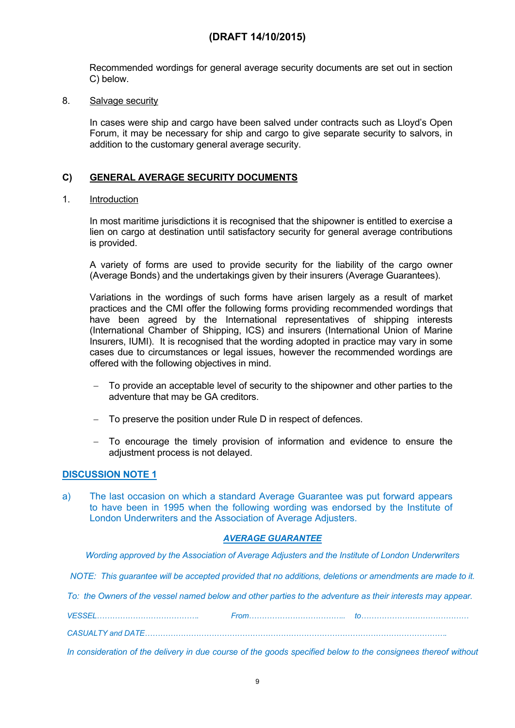Recommended wordings for general average security documents are set out in section C) below.

### 8. Salvage security

In cases were ship and cargo have been salved under contracts such as Lloyd's Open Forum, it may be necessary for ship and cargo to give separate security to salvors, in addition to the customary general average security.

## **C) GENERAL AVERAGE SECURITY DOCUMENTS**

### 1. Introduction

In most maritime jurisdictions it is recognised that the shipowner is entitled to exercise a lien on cargo at destination until satisfactory security for general average contributions is provided.

A variety of forms are used to provide security for the liability of the cargo owner (Average Bonds) and the undertakings given by their insurers (Average Guarantees).

Variations in the wordings of such forms have arisen largely as a result of market practices and the CMI offer the following forms providing recommended wordings that have been agreed by the International representatives of shipping interests (International Chamber of Shipping, ICS) and insurers (International Union of Marine Insurers, IUMI). It is recognised that the wording adopted in practice may vary in some cases due to circumstances or legal issues, however the recommended wordings are offered with the following objectives in mind.

- To provide an acceptable level of security to the shipowner and other parties to the adventure that may be GA creditors.
- To preserve the position under Rule D in respect of defences.
- To encourage the timely provision of information and evidence to ensure the adjustment process is not delayed.

### **DISCUSSION NOTE 1**

a) The last occasion on which a standard Average Guarantee was put forward appears to have been in 1995 when the following wording was endorsed by the Institute of London Underwriters and the Association of Average Adjusters.

### *AVERAGE GUARANTEE*

*Wording approved by the Association of Average Adjusters and the Institute of London Underwriters*

*NOTE: This guarantee will be accepted provided that no additions, deletions or amendments are made to it.*

To: the Owners of the vessel named below and other parties to the adventure as their interests may appear.

*VESSEL…………………………………. From……………………………….. to……………………………………*

*CASUALTY and DATE……………………………………………………………………………………………………….*

In consideration of the delivery in due course of the goods specified below to the consignees thereof without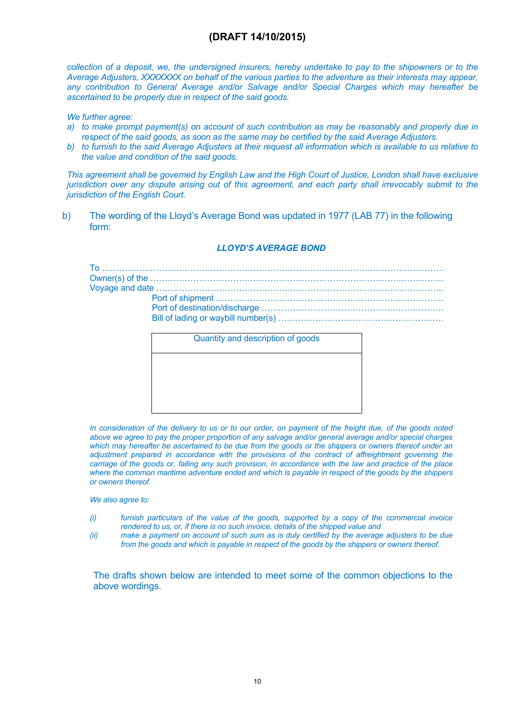collection of a deposit, we, the undersigned insurers, hereby undertake to pay to the shipowners or to the Average Adjusters, XXXXXXX on behalf of the various parties to the adventure as their interests may appear. *any contribution to General Average and/or Salvage and/or Special Charges which may hereafter be ascertained to be properly due in respect of the said goods.*

*We further agree:*

- a) to make prompt payment(s) on account of such contribution as may be reasonably and properly due in *respect of the said goods, as soon as the same may be certified by the said Average Adjusters.*
- b) to furnish to the said Average Adjusters at their request all information which is available to us relative to *the value and condition of the said goods.*

This agreement shall be governed by English Law and the High Court of Justice, London shall have exclusive jurisdiction over any dispute arising out of this agreement, and each party shall irrevocably submit to the *jurisdiction of the English Court.*

b) The wording of the Lloyd's Average Bond was updated in 1977 (LAB 77) in the following form:

### *LLOYD'S AVERAGE BOND*

| Quantity and description of goods |  |
|-----------------------------------|--|
|                                   |  |
|                                   |  |

In consideration of the delivery to us or to our order, on payment of the freight due, of the goods noted *above we agree to pay the proper proportion of any salvage and/or general average and/or special charges* which may hereafter be ascertained to be due from the goods or the shippers or owners thereof under an *adjustment prepared in accordance with the provisions of the contract of affreightment governing the* carriage of the goods or, failing any such provision, in accordance with the law and practice of the place where the common maritime adventure ended and which is payable in respect of the goods by the shippers *or owners thereof.*

*We also agree to:*

- *(i) furnish particulars of the value of the goods, supported by a copy of the commercial invoice rendered to us, or, if there is no such invoice, details of the shipped value and*
- (ii) make a payment on account of such sum as is duly certified by the average adjusters to be due *from the goods and which is payable in respect of the goods by the shippers or owners thereof.*

The drafts shown below are intended to meet some of the common objections to the above wordings.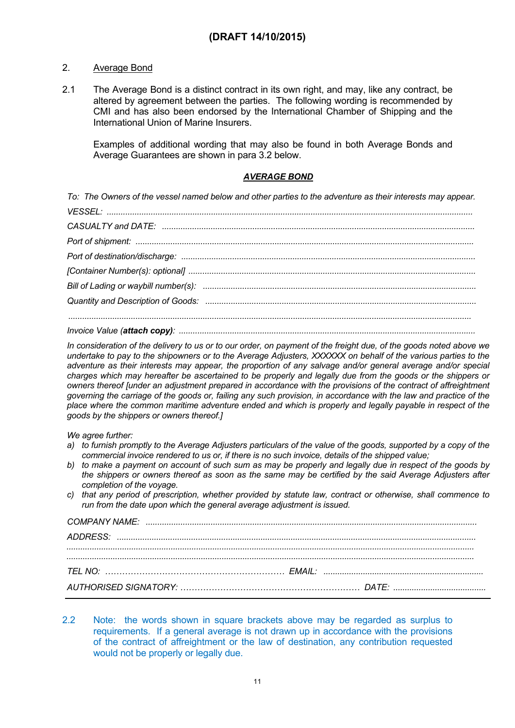## 2. Average Bond

2.1 The Average Bond is a distinct contract in its own right, and may, like any contract, be altered by agreement between the parties. The following wording is recommended by CMI and has also been endorsed by the International Chamber of Shipping and the International Union of Marine Insurers.

Examples of additional wording that may also be found in both Average Bonds and Average Guarantees are shown in para 3.2 below.

### *AVERAGE BOND*

To: The Owners of the vessel named below and other parties to the adventure as their interests may appear.

In consideration of the delivery to us or to our order, on payment of the freight due, of the goods noted above we undertake to pay to the shipowners or to the Average Adjusters. XXXXXX on behalf of the various parties to the *adventure as their interests may appear, the proportion of any salvage and/or general average and/or special* charges which may hereafter be ascertained to be properly and legally due from the goods or the shippers or *owners thereof [under an adjustment prepared in accordance with the provisions of the contract of affreightment* governing the carriage of the goods or, failing any such provision, in accordance with the law and practice of the place where the common maritime adventure ended and which is properly and legally payable in respect of the *goods by the shippers or owners thereof.]*

*We agree further:*

- a) to furnish promptly to the Average Adjusters particulars of the value of the goods, supported by a copy of the *commercial invoice rendered to us or, if there is no such invoice, details of the shipped value;*
- b) to make a payment on account of such sum as may be properly and legally due in respect of the goods by the shippers or owners thereof as soon as the same may be certified by the said Average Adjusters after *completion of the voyage.*
- c) that any period of prescription, whether provided by statute law, contract or otherwise, shall commence to *run from the date upon which the general average adjustment is issued.*

2.2 Note: the words shown in square brackets above may be regarded as surplus to requirements. If a general average is not drawn up in accordance with the provisions of the contract of affreightment or the law of destination, any contribution requested would not be properly or legally due.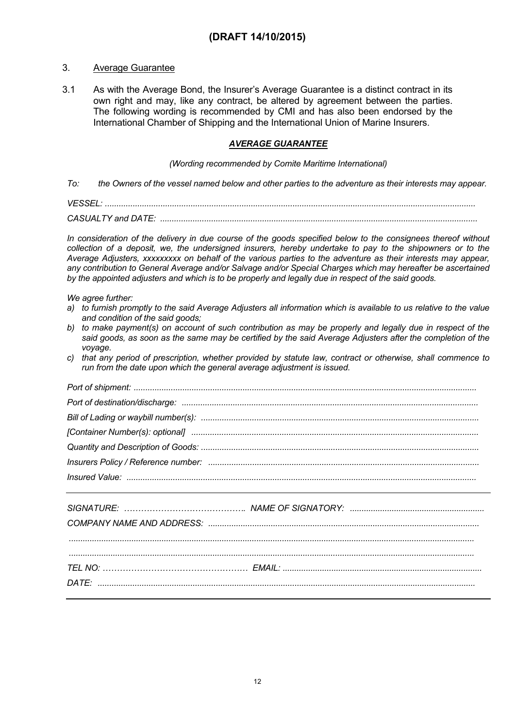### 3. Average Guarantee

3.1 As with the Average Bond, the Insurer's Average Guarantee is a distinct contract in its own right and may, like any contract, be altered by agreement between the parties. The following wording is recommended by CMI and has also been endorsed by the International Chamber of Shipping and the International Union of Marine Insurers.

### *AVERAGE GUARANTEE*

#### *(Wording recommended by Comite Maritime International)*

To: the Owners of the vessel named below and other parties to the adventure as their interests may appear.

*VESSEL: ................................................................................................................................................................ CASUALTY and DATE: .........................................................................................................................................*

In consideration of the delivery in due course of the goods specified below to the consignees thereof without collection of a deposit, we, the undersigned insurers, hereby undertake to pay to the shipowners or to the Average Adjusters, xxxxxxxxx on behalf of the various parties to the adventure as their interests may appear, *any contribution to General Average and/or Salvage and/or Special Charges which may hereafter be ascertained*

by the appointed adjusters and which is to be properly and legally due in respect of the said goods.

*We agree further:*

- a) to furnish promptly to the said Average Adjusters all information which is available to us relative to the value *and condition of the said goods;*
- b) to make payment(s) on account of such contribution as may be properly and legally due in respect of the said goods, as soon as the same may be certified by the said Average Adjusters after the completion of the *voyage.*
- c) that any period of prescription, whether provided by statute law, contract or otherwise, shall commence to *run from the date upon which the general average adjustment is issued.*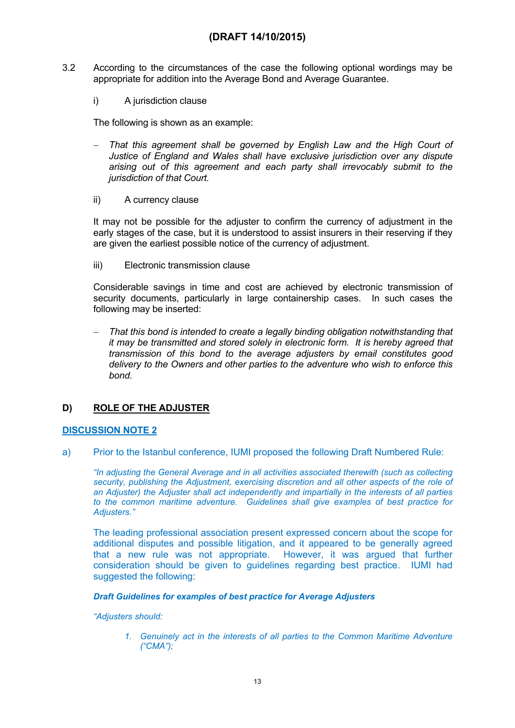- 3.2 According to the circumstances of the case the following optional wordings may be appropriate for addition into the Average Bond and Average Guarantee.
	- i) A jurisdiction clause

The following is shown as an example:

- *That this agreement shall be governed by English Law and the High Court of Justice of England and Wales shall have exclusive jurisdiction over any dispute arising out of this agreement and each party shall irrevocably submit to the jurisdiction of that Court.*
- ii) A currency clause

It may not be possible for the adjuster to confirm the currency of adjustment in the early stages of the case, but it is understood to assist insurers in their reserving if they are given the earliest possible notice of the currency of adjustment.

iii) Electronic transmission clause

Considerable savings in time and cost are achieved by electronic transmission of security documents, particularly in large containership cases. In such cases the following may be inserted:

 *That this bond is intended to create a legally binding obligation notwithstanding that it may be transmitted and stored solely in electronic form. It is hereby agreed that transmission of this bond to the average adjusters by email constitutes good delivery to the Owners and other parties to the adventure who wish to enforce this bond.*

### **D) ROLE OF THE ADJUSTER**

### **DISCUSSION NOTE 2**

a) Prior to the Istanbul conference, IUMI proposed the following Draft Numbered Rule:

*"In adjusting the General Average and in all activities associated therewith (such as collecting security, publishing the Adjustment, exercising discretion and all other aspects of the role of an Adjuster) the Adjuster shall act independently and impartially in the interests of all parties to the common maritime adventure. Guidelines shall give examples of best practice for Adjusters."*

The leading professional association present expressed concern about the scope for additional disputes and possible litigation, and it appeared to be generally agreed that a new rule was not appropriate. However, it was argued that further consideration should be given to guidelines regarding best practice. IUMI had suggested the following:

### *Draft Guidelines for examples of best practice for Average Adjusters*

### *"Adjusters should:*

*1. Genuinely act in the interests of all parties to the Common Maritime Adventure ("CMA");*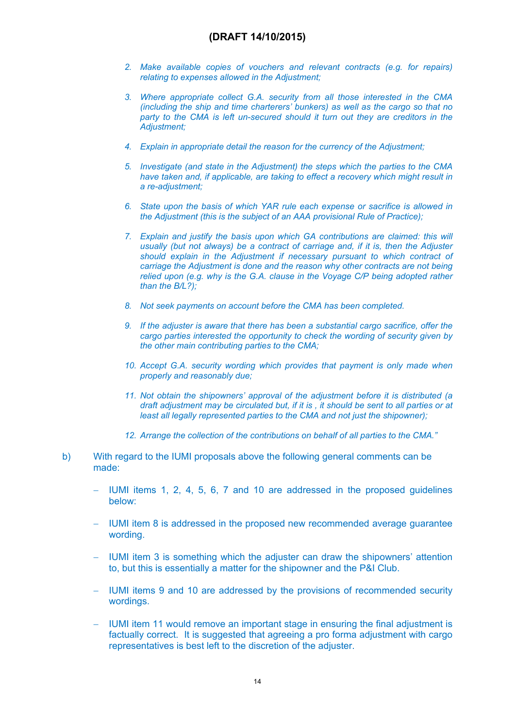- *2. Make available copies of vouchers and relevant contracts (e.g. for repairs) relating to expenses allowed in the Adjustment;*
- *3. Where appropriate collect G.A. security from all those interested in the CMA (including the ship and time charterers' bunkers) as well as the cargo so that no party to the CMA is left un-secured should it turn out they are creditors in the Adjustment;*
- *4. Explain in appropriate detail the reason for the currency of the Adjustment;*
- *5. Investigate (and state in the Adjustment) the steps which the parties to the CMA have taken and, if applicable, are taking to effect a recovery which might result in a re-adjustment;*
- *6. State upon the basis of which YAR rule each expense or sacrifice is allowed in the Adjustment (this is the subject of an AAA provisional Rule of Practice);*
- *7. Explain and justify the basis upon which GA contributions are claimed: this will usually (but not always) be a contract of carriage and, if it is, then the Adjuster should explain in the Adjustment if necessary pursuant to which contract of carriage the Adjustment is done and the reason why other contracts are not being relied upon (e.g. why is the G.A. clause in the Voyage C/P being adopted rather than the B/L?);*
- *8. Not seek payments on account before the CMA has been completed.*
- *9. If the adjuster is aware that there has been a substantial cargo sacrifice, offer the cargo parties interested the opportunity to check the wording of security given by the other main contributing parties to the CMA;*
- *10. Accept G.A. security wording which provides that payment is only made when properly and reasonably due;*
- *11. Not obtain the shipowners' approval of the adjustment before it is distributed (a draft adjustment may be circulated but, if it is , it should be sent to all parties or at least all legally represented parties to the CMA and not just the shipowner);*
- *12. Arrange the collection of the contributions on behalf of all parties to the CMA."*
- b) With regard to the IUMI proposals above the following general comments can be made:
	- IUMI items 1, 2, 4, 5, 6, 7 and 10 are addressed in the proposed guidelines below:
	- IUMI item 8 is addressed in the proposed new recommended average guarantee wording.
	- IUMI item 3 is something which the adjuster can draw the shipowners' attention to, but this is essentially a matter for the shipowner and the P&I Club.
	- IUMI items 9 and 10 are addressed by the provisions of recommended security wordings.
	- IUMI item 11 would remove an important stage in ensuring the final adjustment is factually correct. It is suggested that agreeing a pro forma adjustment with cargo representatives is best left to the discretion of the adjuster.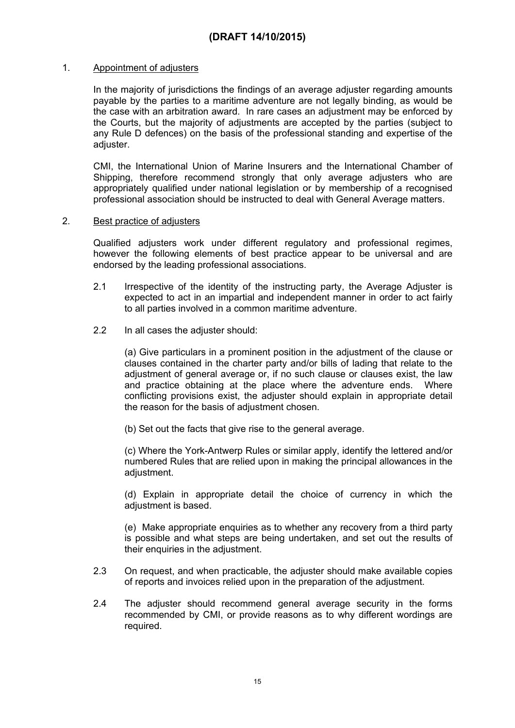### 1. Appointment of adjusters

In the majority of jurisdictions the findings of an average adjuster regarding amounts payable by the parties to a maritime adventure are not legally binding, as would be the case with an arbitration award. In rare cases an adjustment may be enforced by the Courts, but the majority of adjustments are accepted by the parties (subject to any Rule D defences) on the basis of the professional standing and expertise of the adjuster.

CMI, the International Union of Marine Insurers and the International Chamber of Shipping, therefore recommend strongly that only average adjusters who are appropriately qualified under national legislation or by membership of a recognised professional association should be instructed to deal with General Average matters.

### 2. Best practice of adjusters

Qualified adjusters work under different regulatory and professional regimes, however the following elements of best practice appear to be universal and are endorsed by the leading professional associations.

- 2.1 Irrespective of the identity of the instructing party, the Average Adjuster is expected to act in an impartial and independent manner in order to act fairly to all parties involved in a common maritime adventure.
- 2.2 In all cases the adjuster should:

(a) Give particulars in a prominent position in the adjustment of the clause or clauses contained in the charter party and/or bills of lading that relate to the adjustment of general average or, if no such clause or clauses exist, the law and practice obtaining at the place where the adventure ends. Where conflicting provisions exist, the adjuster should explain in appropriate detail the reason for the basis of adjustment chosen.

(b) Set out the facts that give rise to the general average.

(c) Where the York-Antwerp Rules or similar apply, identify the lettered and/or numbered Rules that are relied upon in making the principal allowances in the adjustment.

(d) Explain in appropriate detail the choice of currency in which the adjustment is based.

(e) Make appropriate enquiries as to whether any recovery from a third party is possible and what steps are being undertaken, and set out the results of their enquiries in the adjustment.

- 2.3 On request, and when practicable, the adjuster should make available copies of reports and invoices relied upon in the preparation of the adjustment.
- 2.4 The adjuster should recommend general average security in the forms recommended by CMI, or provide reasons as to why different wordings are required.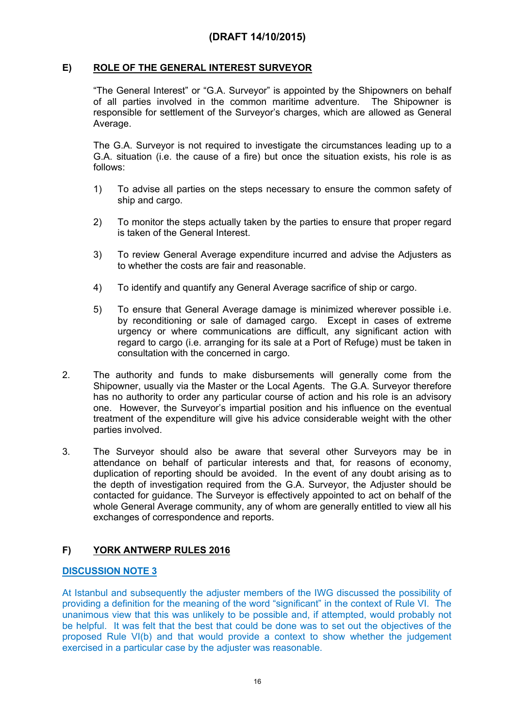### **E) ROLE OF THE GENERAL INTEREST SURVEYOR**

"The General Interest" or "G.A. Surveyor" is appointed by the Shipowners on behalf of all parties involved in the common maritime adventure. The Shipowner is responsible for settlement of the Surveyor's charges, which are allowed as General Average.

The G.A. Surveyor is not required to investigate the circumstances leading up to a G.A. situation (i.e. the cause of a fire) but once the situation exists, his role is as follows:

- 1) To advise all parties on the steps necessary to ensure the common safety of ship and cargo.
- 2) To monitor the steps actually taken by the parties to ensure that proper regard is taken of the General Interest.
- 3) To review General Average expenditure incurred and advise the Adjusters as to whether the costs are fair and reasonable.
- 4) To identify and quantify any General Average sacrifice of ship or cargo.
- 5) To ensure that General Average damage is minimized wherever possible i.e. by reconditioning or sale of damaged cargo. Except in cases of extreme urgency or where communications are difficult, any significant action with regard to cargo (i.e. arranging for its sale at a Port of Refuge) must be taken in consultation with the concerned in cargo.
- 2. The authority and funds to make disbursements will generally come from the Shipowner, usually via the Master or the Local Agents. The G.A. Surveyor therefore has no authority to order any particular course of action and his role is an advisory one. However, the Surveyor's impartial position and his influence on the eventual treatment of the expenditure will give his advice considerable weight with the other parties involved.
- 3. The Surveyor should also be aware that several other Surveyors may be in attendance on behalf of particular interests and that, for reasons of economy, duplication of reporting should be avoided. In the event of any doubt arising as to the depth of investigation required from the G.A. Surveyor, the Adjuster should be contacted for guidance. The Surveyor is effectively appointed to act on behalf of the whole General Average community, any of whom are generally entitled to view all his exchanges of correspondence and reports.

## **F) YORK ANTWERP RULES 2016**

### **DISCUSSION NOTE 3**

At Istanbul and subsequently the adjuster members of the IWG discussed the possibility of providing a definition for the meaning of the word "significant" in the context of Rule VI. The unanimous view that this was unlikely to be possible and, if attempted, would probably not be helpful. It was felt that the best that could be done was to set out the objectives of the proposed Rule VI(b) and that would provide a context to show whether the judgement exercised in a particular case by the adjuster was reasonable.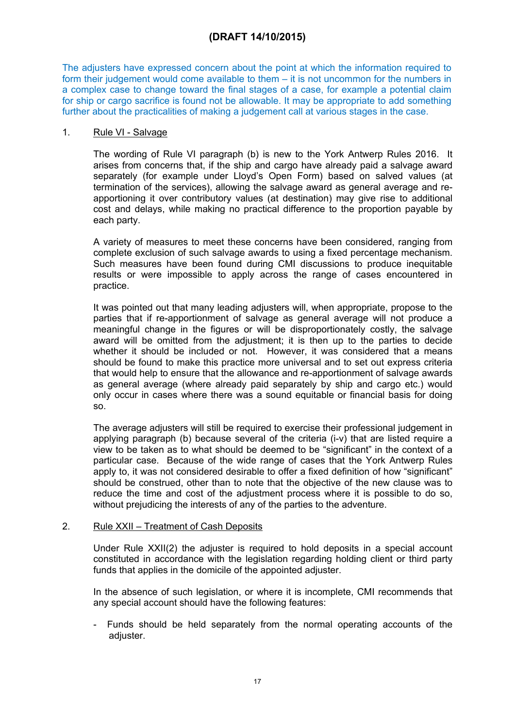The adjusters have expressed concern about the point at which the information required to form their judgement would come available to them – it is not uncommon for the numbers in a complex case to change toward the final stages of a case, for example a potential claim for ship or cargo sacrifice is found not be allowable. It may be appropriate to add something further about the practicalities of making a judgement call at various stages in the case.

### 1. Rule VI - Salvage

The wording of Rule VI paragraph (b) is new to the York Antwerp Rules 2016. It arises from concerns that, if the ship and cargo have already paid a salvage award separately (for example under Lloyd's Open Form) based on salved values (at termination of the services), allowing the salvage award as general average and reapportioning it over contributory values (at destination) may give rise to additional cost and delays, while making no practical difference to the proportion payable by each party.

A variety of measures to meet these concerns have been considered, ranging from complete exclusion of such salvage awards to using a fixed percentage mechanism. Such measures have been found during CMI discussions to produce inequitable results or were impossible to apply across the range of cases encountered in practice.

It was pointed out that many leading adjusters will, when appropriate, propose to the parties that if re-apportionment of salvage as general average will not produce a meaningful change in the figures or will be disproportionately costly, the salvage award will be omitted from the adjustment; it is then up to the parties to decide whether it should be included or not. However, it was considered that a means should be found to make this practice more universal and to set out express criteria that would help to ensure that the allowance and re-apportionment of salvage awards as general average (where already paid separately by ship and cargo etc.) would only occur in cases where there was a sound equitable or financial basis for doing so.

The average adjusters will still be required to exercise their professional judgement in applying paragraph (b) because several of the criteria (i-v) that are listed require a view to be taken as to what should be deemed to be "significant" in the context of a particular case. Because of the wide range of cases that the York Antwerp Rules apply to, it was not considered desirable to offer a fixed definition of how "significant" should be construed, other than to note that the objective of the new clause was to reduce the time and cost of the adjustment process where it is possible to do so, without prejudicing the interests of any of the parties to the adventure.

### 2. Rule XXII – Treatment of Cash Deposits

Under Rule XXII(2) the adjuster is required to hold deposits in a special account constituted in accordance with the legislation regarding holding client or third party funds that applies in the domicile of the appointed adjuster.

In the absence of such legislation, or where it is incomplete, CMI recommends that any special account should have the following features:

- Funds should be held separately from the normal operating accounts of the adjuster.